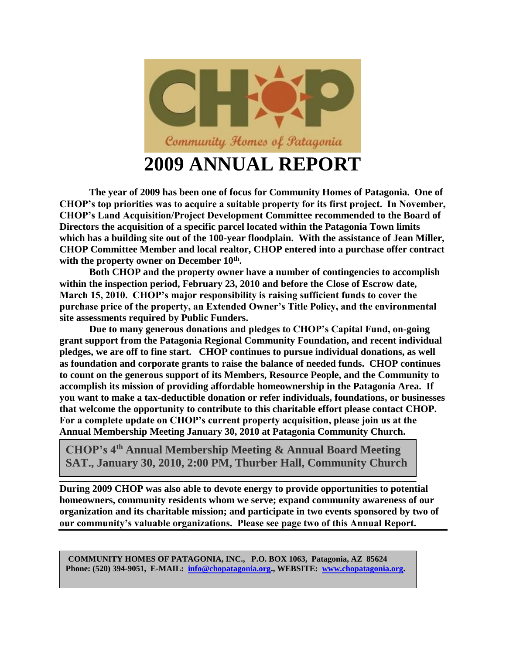

**The year of 2009 has been one of focus for Community Homes of Patagonia. One of CHOP's top priorities was to acquire a suitable property for its first project. In November, CHOP's Land Acquisition/Project Development Committee recommended to the Board of Directors the acquisition of a specific parcel located within the Patagonia Town limits which has a building site out of the 100-year floodplain. With the assistance of Jean Miller, CHOP Committee Member and local realtor, CHOP entered into a purchase offer contract with the property owner on December 10th .** 

**Both CHOP and the property owner have a number of contingencies to accomplish within the inspection period, February 23, 2010 and before the Close of Escrow date, March 15, 2010. CHOP's major responsibility is raising sufficient funds to cover the purchase price of the property, an Extended Owner's Title Policy, and the environmental site assessments required by Public Funders.** 

**Due to many generous donations and pledges to CHOP's Capital Fund, on-going grant support from the Patagonia Regional Community Foundation, and recent individual pledges, we are off to fine start. CHOP continues to pursue individual donations, as well as foundation and corporate grants to raise the balance of needed funds. CHOP continues to count on the generous support of its Members, Resource People, and the Community to accomplish its mission of providing affordable homeownership in the Patagonia Area. If you want to make a tax-deductible donation or refer individuals, foundations, or businesses that welcome the opportunity to contribute to this charitable effort please contact CHOP. For a complete update on CHOP's current property acquisition, please join us at the Annual Membership Meeting January 30, 2010 at Patagonia Community Church.** 

**CHOP's 4th Annual Membership Meeting & Annual Board Meeting SAT., January 30, 2010, 2:00 PM, Thurber Hall, Community Church**

**\_\_\_\_\_\_\_\_\_\_\_\_\_\_\_\_\_\_\_\_\_\_\_\_\_\_\_\_\_\_\_\_\_\_\_\_\_\_\_\_\_\_\_\_\_\_\_\_\_\_\_\_\_\_\_\_\_\_\_\_\_\_\_\_\_\_\_\_\_\_\_\_**

**During 2009 CHOP was also able to devote energy to provide opportunities to potential homeowners, community residents whom we serve; expand community awareness of our organization and its charitable mission; and participate in two events sponsored by two of our community's valuable organizations. Please see page two of this Annual Report.**

**COMMUNITY HOMES OF PATAGONIA, INC.,** P.O. BOX 1063, Patagonia, AZ 85624<br>Phone: (520) 394-9051, E-MAIL: <u>info@chopatagonia.org</u>., WEBSITE: [www.chopatagonia.org.](http://www.chopatagonia.org/) **COMMUNITY HOMES OF PATAGONIA, INC., P.O. BOX 1063, Patagonia, AZ 85624**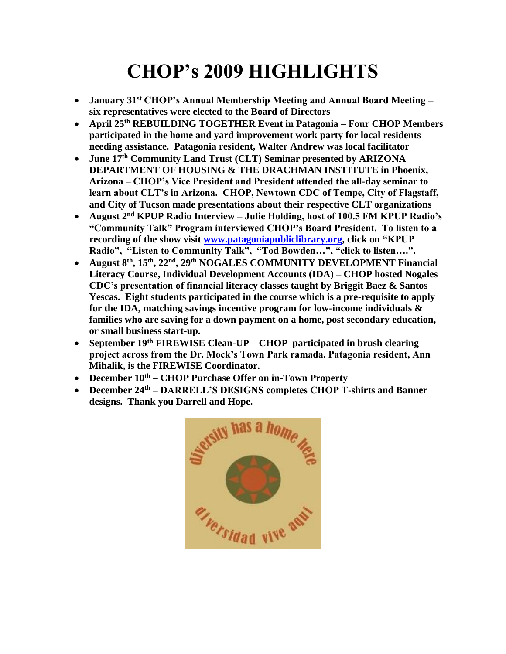## **CHOP's 2009 HIGHLIGHTS**

- **January 31st CHOP's Annual Membership Meeting and Annual Board Meeting – six representatives were elected to the Board of Directors**
- **April 25th REBUILDING TOGETHER Event in Patagonia – Four CHOP Members participated in the home and yard improvement work party for local residents needing assistance. Patagonia resident, Walter Andrew was local facilitator**
- **June 17th Community Land Trust (CLT) Seminar presented by ARIZONA DEPARTMENT OF HOUSING & THE DRACHMAN INSTITUTE in Phoenix, Arizona – CHOP's Vice President and President attended the all-day seminar to learn about CLT's in Arizona. CHOP, Newtown CDC of Tempe, City of Flagstaff, and City of Tucson made presentations about their respective CLT organizations**
- **August 2nd KPUP Radio Interview – Julie Holding, host of 100.5 FM KPUP Radio's "Community Talk" Program interviewed CHOP's Board President. To listen to a recording of the show visit [www.patagoniapubliclibrary.org,](http://www.patagoniapubliclibrary.org/) click on "KPUP Radio", "Listen to Community Talk", "Tod Bowden…", "click to listen….".**
- **August 8th, 15th, 22nd, 29th NOGALES COMMUNITY DEVELOPMENT Financial Literacy Course, Individual Development Accounts (IDA) – CHOP hosted Nogales CDC's presentation of financial literacy classes taught by Briggit Baez & Santos Yescas. Eight students participated in the course which is a pre-requisite to apply for the IDA, matching savings incentive program for low-income individuals & families who are saving for a down payment on a home, post secondary education, or small business start-up.**
- **September 19th FIREWISE Clean-UP – CHOP participated in brush clearing project across from the Dr. Mock's Town Park ramada. Patagonia resident, Ann Mihalik, is the FIREWISE Coordinator.**
- **December 10th – CHOP Purchase Offer on in-Town Property**
- **December 24th – DARRELL'S DESIGNS completes CHOP T-shirts and Banner designs. Thank you Darrell and Hope.**